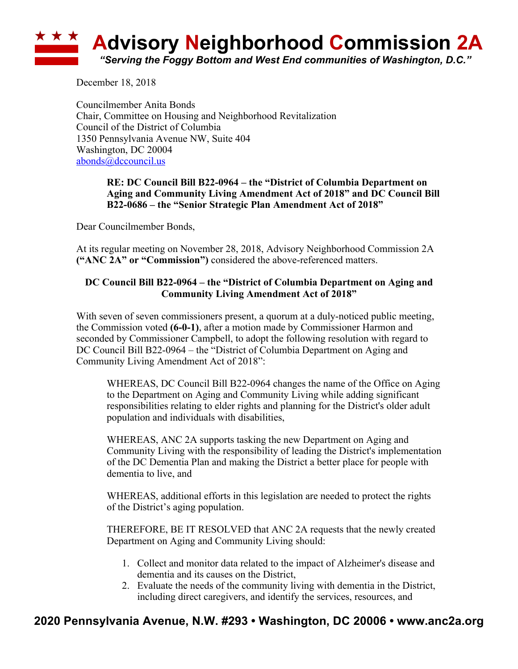# **Advisory Neighborhood Commission 2A** *"Serving the Foggy Bottom and West End communities of Washington, D.C."*

December 18, 2018

Councilmember Anita Bonds Chair, Committee on Housing and Neighborhood Revitalization Council of the District of Columbia 1350 Pennsylvania Avenue NW, Suite 404 Washington, DC 20004 abonds@dccouncil.us

### **RE: DC Council Bill B22-0964 – the "District of Columbia Department on Aging and Community Living Amendment Act of 2018" and DC Council Bill B22-0686 – the "Senior Strategic Plan Amendment Act of 2018"**

Dear Councilmember Bonds,

At its regular meeting on November 28, 2018, Advisory Neighborhood Commission 2A **("ANC 2A" or "Commission")** considered the above-referenced matters.

## **DC Council Bill B22-0964 – the "District of Columbia Department on Aging and Community Living Amendment Act of 2018"**

With seven of seven commissioners present, a quorum at a duly-noticed public meeting, the Commission voted **(6-0-1)**, after a motion made by Commissioner Harmon and seconded by Commissioner Campbell, to adopt the following resolution with regard to DC Council Bill B22-0964 – the "District of Columbia Department on Aging and Community Living Amendment Act of 2018":

WHEREAS, DC Council Bill B22-0964 changes the name of the Office on Aging to the Department on Aging and Community Living while adding significant responsibilities relating to elder rights and planning for the District's older adult population and individuals with disabilities,

WHEREAS, ANC 2A supports tasking the new Department on Aging and Community Living with the responsibility of leading the District's implementation of the DC Dementia Plan and making the District a better place for people with dementia to live, and

WHEREAS, additional efforts in this legislation are needed to protect the rights of the District's aging population.

THEREFORE, BE IT RESOLVED that ANC 2A requests that the newly created Department on Aging and Community Living should:

- 1. Collect and monitor data related to the impact of Alzheimer's disease and dementia and its causes on the District,
- 2. Evaluate the needs of the community living with dementia in the District, including direct caregivers, and identify the services, resources, and

# **2020 Pennsylvania Avenue, N.W. #293 • Washington, DC 20006 • www.anc2a.org**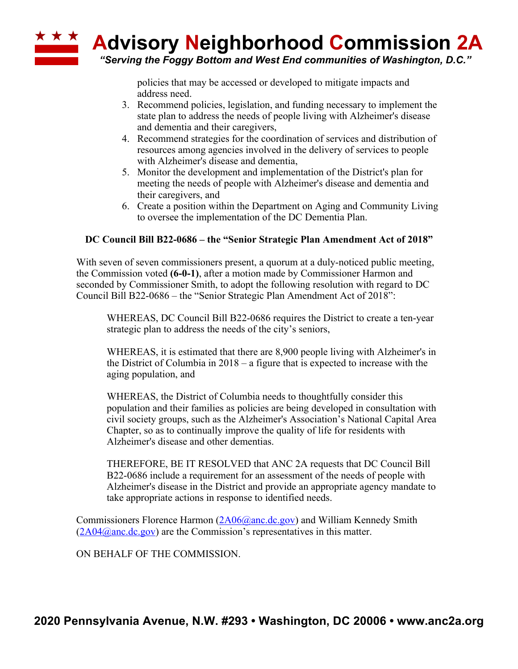

*"Serving the Foggy Bottom and West End communities of Washington, D.C."*

policies that may be accessed or developed to mitigate impacts and address need.

- 3. Recommend policies, legislation, and funding necessary to implement the state plan to address the needs of people living with Alzheimer's disease and dementia and their caregivers,
- 4. Recommend strategies for the coordination of services and distribution of resources among agencies involved in the delivery of services to people with Alzheimer's disease and dementia,
- 5. Monitor the development and implementation of the District's plan for meeting the needs of people with Alzheimer's disease and dementia and their caregivers, and
- 6. Create a position within the Department on Aging and Community Living to oversee the implementation of the DC Dementia Plan.

### **DC Council Bill B22-0686 – the "Senior Strategic Plan Amendment Act of 2018"**

With seven of seven commissioners present, a quorum at a duly-noticed public meeting, the Commission voted **(6-0-1)**, after a motion made by Commissioner Harmon and seconded by Commissioner Smith, to adopt the following resolution with regard to DC Council Bill B22-0686 – the "Senior Strategic Plan Amendment Act of 2018":

WHEREAS, DC Council Bill B22-0686 requires the District to create a ten-year strategic plan to address the needs of the city's seniors,

WHEREAS, it is estimated that there are 8,900 people living with Alzheimer's in the District of Columbia in 2018 – a figure that is expected to increase with the aging population, and

WHEREAS, the District of Columbia needs to thoughtfully consider this population and their families as policies are being developed in consultation with civil society groups, such as the Alzheimer's Association's National Capital Area Chapter, so as to continually improve the quality of life for residents with Alzheimer's disease and other dementias.

THEREFORE, BE IT RESOLVED that ANC 2A requests that DC Council Bill B22-0686 include a requirement for an assessment of the needs of people with Alzheimer's disease in the District and provide an appropriate agency mandate to take appropriate actions in response to identified needs.

Commissioners Florence Harmon (2A06@anc.dc.gov) and William Kennedy Smith  $(2A04@anc.de.gov)$  are the Commission's representatives in this matter.

ON BEHALF OF THE COMMISSION.